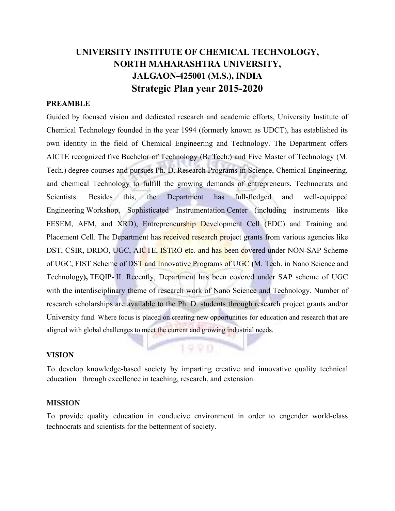# UNIVERSITY INSTITUTE OF CHEMICAL TECHNOLOGY, NORTH MAHARASHTRA UNIVERSITY, JALGAON-425001 (M.S.), INDIA Strategic Plan year 2015-2020

#### PREAMBLE

Guided by focused vision and dedicated research and academic efforts, University Institute of Chemical Technology founded in the year 1994 (formerly known as UDCT), has established its own identity in the field of Chemical Engineering and Technology. The Department offers AICTE recognized five Bachelor of Technology (B. Tech.) and Five Master of Technology (M. Tech.) degree courses and pursues Ph. D. Research Programs in Science, Chemical Engineering, and chemical Technology to fulfill the growing demands of entrepreneurs, Technocrats and Scientists. Besides this, the Department has full-fledged and well-equipped Engineering Workshop, Sophisticated Instrumentation Center (including instruments like FESEM, AFM, and XRD), Entrepreneurship Development Cell (EDC) and Training and Placement Cell. The Department has received research project grants from various agencies like DST, CSIR, DRDO, UGC, AICTE, ISTRO etc. and has been covered under NON-SAP Scheme of UGC, FIST Scheme of DST and Innovative Programs of UGC (M. Tech. in Nano Science and Technology), TEQIP- II. Recently, Department has been covered under SAP scheme of UGC with the interdisciplinary theme of research work of Nano Science and Technology. Number of research scholarships are available to the Ph. D. students through research project grants and/or University fund. Where focus is placed on creating new opportunities for education and research that are aligned with global challenges to meet the current and growing industrial needs.

#### VISION

To develop knowledge-based society by imparting creative and innovative quality technical education through excellence in teaching, research, and extension.

VB.

#### MISSION

To provide quality education in conducive environment in order to engender world-class technocrats and scientists for the betterment of society.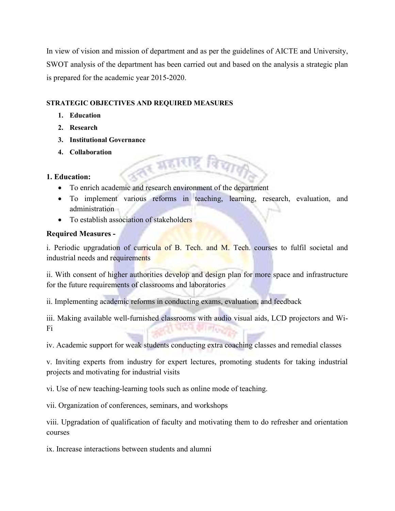In view of vision and mission of department and as per the guidelines of AICTE and University, SWOT analysis of the department has been carried out and based on the analysis a strategic plan is prepared for the academic year 2015-2020.

# STRATEGIC OBJECTIVES AND REQUIRED MEASURES

- 1. Education
- 2. Research
- 3. Institutional Governance
- 4. Collaboration

## 1. Education:

To enrich academic and research environment of the department

**TABILI** 

 To implement various reforms in teaching, learning, research, evaluation, and administration

<u>इ</u> विचा

• To establish association of stakeholders

# Required Measures -

i. Periodic upgradation of curricula of B. Tech. and M. Tech. courses to fulfil societal and industrial needs and requirements

ii. With consent of higher authorities develop and design plan for more space and infrastructure for the future requirements of classrooms and laboratories

ii. Implementing academic reforms in conducting exams, evaluation, and feedback

iii. Making available well-furnished classrooms with audio visual aids, LCD projectors and Wi-Fi

iv. Academic support for weak students conducting extra coaching classes and remedial classes

v. Inviting experts from industry for expert lectures, promoting students for taking industrial projects and motivating for industrial visits

vi. Use of new teaching-learning tools such as online mode of teaching.

vii. Organization of conferences, seminars, and workshops

viii. Upgradation of qualification of faculty and motivating them to do refresher and orientation courses

ix. Increase interactions between students and alumni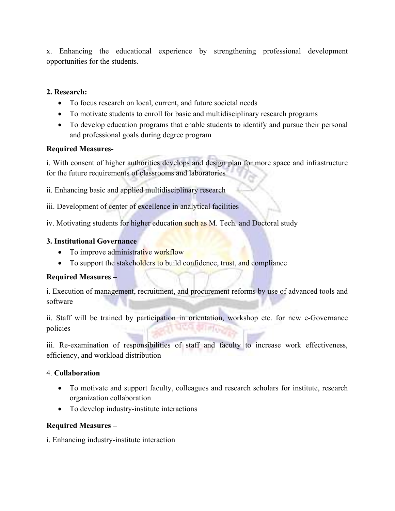x. Enhancing the educational experience by strengthening professional development opportunities for the students.

# 2. Research:

- To focus research on local, current, and future societal needs
- To motivate students to enroll for basic and multidisciplinary research programs
- To develop education programs that enable students to identify and pursue their personal and professional goals during degree program

# Required Measures-

i. With consent of higher authorities develops and design plan for more space and infrastructure for the future requirements of classrooms and laboratories

ii. Enhancing basic and applied multidisciplinary research

iii. Development of center of excellence in analytical facilities

iv. Motivating students for higher education such as M. Tech. and Doctoral study

## 3. Institutional Governance

- To improve administrative workflow
- To support the stakeholders to build confidence, trust, and compliance

# Required Measures –

i. Execution of management, recruitment, and procurement reforms by use of advanced tools and software

ii. Staff will be trained by participation in orientation, workshop etc. for new e-Governance policies

iii. Re-examination of responsibilities of staff and faculty to increase work effectiveness, efficiency, and workload distribution

## 4. Collaboration

- To motivate and support faculty, colleagues and research scholars for institute, research organization collaboration
- To develop industry-institute interactions

## Required Measures –

i. Enhancing industry-institute interaction